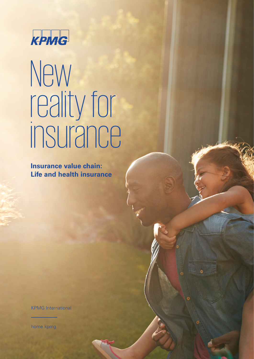

## New reality for

Insurance value chain: **Life and health insurance** 

**KPMG** International

home.kpmg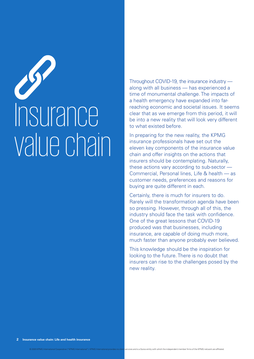# Insurance value chain

Throughout COVID-19, the insurance industry along with all business — has experienced a time of monumental challenge. The impacts of a health emergency have expanded into farreaching economic and societal issues. It seems clear that as we emerge from this period, it will be into a new reality that will look very different to what existed before.

In preparing for the new reality, the KPMG insurance professionals have set out the eleven key components of the insurance value chain and offer insights on the actions that insurers should be contemplating. Naturally, these actions vary according to sub-sector — Commercial, Personal lines, Life & health — as customer needs, preferences and reasons for buying are quite different in each.

Certainly, there is much for insurers to do. Rarely will the transformation agenda have been so pressing. However, through all of this, the industry should face the task with confidence. One of the great lessons that COVID-19 produced was that businesses, including insurance, are capable of doing much more, much faster than anyone probably ever believed.

This knowledge should be the inspiration for looking to the future. There is no doubt that insurers can rise to the challenges posed by the new reality.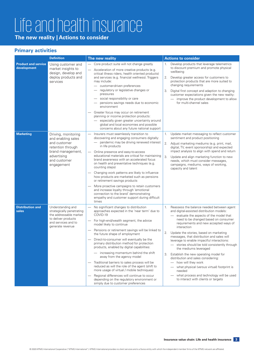### Life and health insurance

**The new reality | Actions to consider**

### **Primary activities**

|                                           | <b>Definition</b>                                                                                                                                | The new reality                                                                                                                                                                                                                                                                                                                                                                                                                                                                                                                                                                                                                                                                                                                                                                                  | <b>Actions to consider</b>                                                                                                                                                                                                                                                                                                                                                                                                                                                                                                                                                                                                                                                                                                |
|-------------------------------------------|--------------------------------------------------------------------------------------------------------------------------------------------------|--------------------------------------------------------------------------------------------------------------------------------------------------------------------------------------------------------------------------------------------------------------------------------------------------------------------------------------------------------------------------------------------------------------------------------------------------------------------------------------------------------------------------------------------------------------------------------------------------------------------------------------------------------------------------------------------------------------------------------------------------------------------------------------------------|---------------------------------------------------------------------------------------------------------------------------------------------------------------------------------------------------------------------------------------------------------------------------------------------------------------------------------------------------------------------------------------------------------------------------------------------------------------------------------------------------------------------------------------------------------------------------------------------------------------------------------------------------------------------------------------------------------------------------|
| <b>Product and service</b><br>development | Using customer and<br>market insights to<br>design, develop and<br>deploy products and<br>services                                               | Core product suite will not change greatly<br>Acceleration of more creative products (e.g.<br>critical illness riders, health oriented products)<br>and services (e.g. financial wellness). Triggers<br>may include:<br>customer-driven preferences<br>regulatory or legislative changes or<br>pressures<br>social responsibility or care<br>pensions savings needs due to economic<br>environment<br>Greater focus may occur on retirement<br>planning or income protection products:<br>especially given greater uncertainty around<br>global and local economies and possible<br>concerns about any future national support                                                                                                                                                                   | Develop products that leverage telemetrics<br>1.<br>to discount premium and promote physical<br>wellbeing<br>2.<br>Develop greater access for customers to<br>protection products that are more suited to<br>changing requirements<br>Digital first concept and adaption to changing<br>3.<br>customer expectations given the new reality:<br>- improve the product development to allow<br>for multi-channel sales                                                                                                                                                                                                                                                                                                       |
| <b>Marketing</b>                          | Driving, monitoring<br>and enabling sales<br>and customer<br>retention through<br>brand management,<br>advertising<br>and customer<br>engagement | Insurers must seamlessly transition to<br>$\overline{\phantom{m}}$<br>discovering and engaging consumers digitally:<br>- pandemic may be driving renewed interest<br>in life products<br>Online presence and easy-to-access<br>educational materials are critical for maintaining<br>brand awareness with an accelerated focus<br>on health and preventative techniques (e.g.<br>counting steps)<br>Changing work patterns are likely to influence<br>how products are marketed such as pensions<br>or retirement savings products<br>More proactive campaigns to retain customers<br>and increase loyalty through 'emotional<br>connection to the brand' demonstrating<br>empathy and customer support during difficult<br>times                                                                | Update market messaging to reflect customer<br>1.<br>sentiment and product positioning<br>2. Adjust marketing mediums (e.g. print, mail,<br>digital, TV, event sponsorship) and expected<br>impact analysis to align with spend and return<br>3.<br>Update and align marketing function to new<br>needs, which must consider messages,<br>campaigns, mediums, ways of working,<br>capacity and talent                                                                                                                                                                                                                                                                                                                     |
| <b>Distribution and</b><br>sales          | Understanding and<br>strategically penetrating<br>the addressable market<br>to deliver products<br>and services and to<br>generate revenue       | No significant changes to distribution<br>approaches expected in the 'near term' due to<br>COVID-19<br>For high-end/wealth segment, the advice<br>$\overline{\phantom{0}}$<br>model likely to continue<br>Pensions or retirement savings will be linked to<br>the future shape of employment<br>Direct-to-consumer will eventually be the<br>primary distribution method for protection<br>products, enabled by digital capabilities:<br>increasing momentum behind the shift<br>away from the agency model<br>Traditional barriers to sales process will be<br>reduced as will the role of the agent (shift to<br>more usage of virtual / mobile techniques)<br>Regional differences will continue to occur<br>depending on the regulatory environment or<br>simply due to customer preferences | Reassess the balance needed between agent<br>1.<br>and digital-assisted distribution models:<br>- evaluate the aspects of the model that<br>need to be changed based on consumer<br>requirements and new accepted ways of<br>interaction<br>2. Update the stories, based on marketing<br>messages, that distribution and sales will<br>leverage to enable impactful interactions:<br>- stories should be told consistently through<br>the mediums leveraged<br>Establish the new operating model for<br>3.<br>distribution and sales considering:<br>- how will they work<br>- what physical (versus virtual) footprint is<br>needed<br>- what process and technology will be used<br>to interact with clients or targets |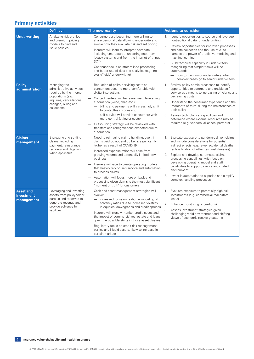### **Primary activities**

|                                                                                                                                                                                                   | <b>Definition</b>                                                                                                                                                                                                                                                                                                          | The new reality                                                                                                                                                                                                                                                                                                                                                                                                                                                                                                                                  | <b>Actions to consider</b>                                                                                                                                                                                                                                                                                                                                                                                                                                                        |
|---------------------------------------------------------------------------------------------------------------------------------------------------------------------------------------------------|----------------------------------------------------------------------------------------------------------------------------------------------------------------------------------------------------------------------------------------------------------------------------------------------------------------------------|--------------------------------------------------------------------------------------------------------------------------------------------------------------------------------------------------------------------------------------------------------------------------------------------------------------------------------------------------------------------------------------------------------------------------------------------------------------------------------------------------------------------------------------------------|-----------------------------------------------------------------------------------------------------------------------------------------------------------------------------------------------------------------------------------------------------------------------------------------------------------------------------------------------------------------------------------------------------------------------------------------------------------------------------------|
| <b>Underwriting</b>                                                                                                                                                                               | Analyzing risk profiles<br>and premium pricing<br>models to bind and<br>issue policies                                                                                                                                                                                                                                     | Consumers are becoming more willing to<br>share personal data allowing underwriters to<br>evolve how they evaluate risk and set pricing<br>Insurers will learn to interpret new data,<br>$\overbrace{\qquad \qquad }^{}$<br>including unstructured, unlocking data from<br>legacy systems and from the internet of things<br>(IOT)<br>Continued focus on streamlined processing<br>and better use of data and analytics (e.g. 'no<br>exam/fluids' underwriting)                                                                                  | Identify opportunities to source and leverage<br>1.<br>nontraditional data for underwriting<br>2.<br>Review opportunities for improved processes<br>and data collection and the use of AI to<br>harness the power of predictive modeling and<br>machine learning<br>3.<br>Build technical capability in underwriters                                                                                                                                                              |
|                                                                                                                                                                                                   |                                                                                                                                                                                                                                                                                                                            |                                                                                                                                                                                                                                                                                                                                                                                                                                                                                                                                                  | recognizing that simpler tasks will be<br>automated:<br>- how to train junior underwriters when<br>complex cases go to senior underwriters                                                                                                                                                                                                                                                                                                                                        |
| <b>Policy</b><br>Managing the<br>administrative activities<br>administration<br>required by the inforce<br>populations (e.g.<br>inquiries, cancellations,<br>changes, billing and<br>collections) | Reduction of policy servicing costs as<br>consumers become more comfortable with<br>digital interactions<br>Contact centers will be reimagined, leveraging<br>automation (voice, chat, etc.):<br>- billing and payments will increasingly shift<br>to contactless processing<br>- self-service will provide consumers with | 1.<br>Review policy admin processes to identify<br>opportunities to automate and enable self-<br>service as a means to increasing efficiency and<br>decreasing costs<br>2.<br>Understand the consumer experience and the<br>'moments of truth' during the maintenance of<br>their policy<br>3. Assess technological capabilities and                                                                                                                                                                                                             |                                                                                                                                                                                                                                                                                                                                                                                                                                                                                   |
|                                                                                                                                                                                                   |                                                                                                                                                                                                                                                                                                                            | more control (at lower costs)<br>Outsourcing strategy will be reviewed with<br>transfers and renegotiations expected due to<br>automation                                                                                                                                                                                                                                                                                                                                                                                                        | determine where external resources may be<br>required (e.g. vendors, alliances, partners)                                                                                                                                                                                                                                                                                                                                                                                         |
| <b>Claims</b><br>management                                                                                                                                                                       | Evaluating and settling<br>claims, including<br>payment, reinsurance<br>recovery and litigation,<br>when applicable                                                                                                                                                                                                        | Need to reimagine claims handling, even if<br>claims paid do not end up being significantly<br>higher as a result of COVID-19<br>Increased expense ratios will arise from<br>growing volume and potentially limited new<br>business<br>Insurers will race to create operating models<br>that heavily rely on self-service and automation<br>to process claims<br>Automation will focus more on back-end<br>processing given claims is the most significant                                                                                       | Evaluate exposure to pandemic-driven claims<br>1.<br>and include considerations for potential<br>indirect effects (e.g. fewer accidental deaths,<br>reclassification of other terminal illnesses)<br>2.<br>Explore and develop automated claims<br>processing capabilities, with focus on<br>developing operating model and staff<br>capabilities to support a more automated<br>environment<br>3.<br>Invest in automation to expedite and simplify<br>complex handling processes |
| <b>Asset and</b><br><b>investment</b><br>management                                                                                                                                               | Leveraging and investing<br>assets from policyholder<br>surplus and reserves to<br>generate revenue and<br>provide solvency for<br>liabilities                                                                                                                                                                             | 'moment of truth' for customers<br>$\overline{\phantom{0}}$<br>Cash and asset management strategies will<br>evolve:<br>- increased focus on real-time modeling of<br>solvency ratios due to increased volatility<br>in equities, downgrades and credit spreads<br>Insurers will closely monitor credit issues and<br>the impact of commercial real estate and loans<br>given the possible shifts in those asset classes<br>Regulatory focus on credit risk management,<br>particularly illiquid assets, likely to increase in<br>certain markets | Evaluate exposure to potentially high risk<br>1.<br>investments (e.g. commercial real estate,<br>loans)<br>2.<br>Enhance monitoring of credit risk<br>3.<br>Assess investment strategies given<br>challenging yield environment and shifting<br>views of economic recovery patterns                                                                                                                                                                                               |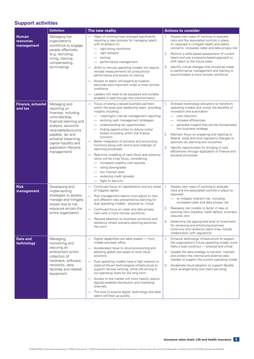### **Support activities**

|                                         | <b>Definition</b>                                                                                                                                                                                                                                           | The new reality                                                                                                                                                                                                                                                                                                                                                                                                                                                                                                                                                                                                                                                                                   | <b>Actions to consider</b>                                                                                                                                                                                                                                                                                                                                                                                                                                                                                                   |
|-----------------------------------------|-------------------------------------------------------------------------------------------------------------------------------------------------------------------------------------------------------------------------------------------------------------|---------------------------------------------------------------------------------------------------------------------------------------------------------------------------------------------------------------------------------------------------------------------------------------------------------------------------------------------------------------------------------------------------------------------------------------------------------------------------------------------------------------------------------------------------------------------------------------------------------------------------------------------------------------------------------------------------|------------------------------------------------------------------------------------------------------------------------------------------------------------------------------------------------------------------------------------------------------------------------------------------------------------------------------------------------------------------------------------------------------------------------------------------------------------------------------------------------------------------------------|
| <b>Human</b><br>resources<br>management | Managing the<br>organization's<br>workforce to engage<br>people effectively<br>(e.g. recruiting,<br>hiring, training,<br>compensating,<br>terminating)                                                                                                      | - Ways of working have changed significantly<br>requiring a new process for managing talent,<br>with emphasis on:<br>right-sizing workforce<br>right skillsets<br>training<br>performance management<br>Shifts to remote operating models will require<br>revised measurements for productivity/<br>performance and access to training<br>Access to talent will expand as location<br>becomes less important under a more remote<br>workforce<br>Leaders will need to be equipped and suitably<br>enabled to lead through this transformation                                                                                                                                                     | 1. Assess new ways of working to evaluate<br>risks and the associated controls in place<br>(or required) to mitigate health and safety<br>concerns, increased cyber and data privacy risk<br>2. Perform a skills-based assessment of current<br>talent and use a scenario-based approach to<br>shift talent to the future state<br>Identify critical changes that should be made<br>3.<br>to performance management and training to<br>accommodate a more remote workforce                                                   |
| <b>Finance, actuarial</b><br>and tax    | Managing and<br>reporting on<br>finances, including<br>controllership,<br>financial planning and<br>analysis, accounts<br>receivable/accounts<br>payable, tax and<br>actuarial (reserving,<br>capital liquidity and<br>application lifecycle<br>management) | Focus on being a valued business partners<br>within the executive leadership team, providing<br>insights including:<br>meaningful internal management reporting<br>evolving cash management strategies<br>understanding tax opportunities<br>finding opportunities to reduce costs/<br>losses (including within the finance<br>function)<br>Better integration of actuarial and accounting<br>functions along with end-to-end redesign of<br>reporting processes<br>Real-time modeling of cash flows and solvency<br>ratios will be a key focus, considering:<br>- increased volatility with equities<br>rating downgrades<br>low interest rates<br>widening credit spreads<br>flight to security | Embrace technology disruptors to transform<br>1.<br>operating models and unlock the benefits of<br>innovation and automation:<br>- cost reduction<br>increase efficiencies<br>generate insights that can be incorporated<br>into business strategy<br>2. Maintain focus on preparing and reacting to<br>federal, state and local regulatory changes to<br>optimize tax planning and outcomes<br>Identify opportunities for bringing in cost<br>3.<br>efficiencies through digitization of finance and<br>actuarial processes |
| <b>Risk</b><br>management               | Developing and<br>implementing<br>strategies to assess,<br>manage and mitigate<br>losses due to risk<br>exposure across the<br>entire organization                                                                                                          | Continued focus on capitalization and any areas<br>of trapped capital<br>Risk management teams must adjust to new<br>and different risks presented by planning for<br>dual operating models - physical vs. virtual.<br>Continued focus on cyber and data privacy<br>risks with a more remote workforce<br>Revived attention on business continuity and<br>resiliency where scenario planning becomes<br>the norm                                                                                                                                                                                                                                                                                  | Assess new ways of working to evaluate<br>1.<br>risks and the associated controls in place (or<br>required):<br>- to mitigate inherent risk, including<br>increased cyber and data privacy risk<br>Reassess risk models to factor in new or<br>2.<br>evolving risks (liquidity, credit default, business<br>closures, etc)<br>3. Determine the appropriate level of investment<br>for reviewing and enhancing business<br>continuity and resiliency plans (may include<br>collaboration with regulators)                     |
| Data and<br>technology                  | Managing,<br>monitoring and<br>securing an<br>enterprise's entire<br>collection of<br>hardware, software,<br>networks, data,<br>facilities and related<br>equipment                                                                                         | Digital capabilities are table stakes - front,<br>middle and back office<br>Accelerated move to cloud provisioning and<br>adopting global use cases to local cloud<br>solutions<br>Dual operating models have a high reliance on<br>state-of-the-art technological infrastructure to<br>support remote working, while still aiming to<br>cut operating costs for the long term.<br>Access to the market will more heavily require<br>digitally-enabled distribution and marketing<br>channels.<br>The race to acquire digital, technology and data<br>talent will heat up quickly                                                                                                                 | 1.<br>Enhance technology infrastructure to support<br>the organization's future operating model, most<br>likely a dual construct - physical and virtual<br>2. Update the data strategy to harvest, maintain<br>and protect the internal and external data<br>needed to support the current operating model<br>3. Accelerate cloud adoption to support flexible<br>work arrangements and client servicing                                                                                                                     |